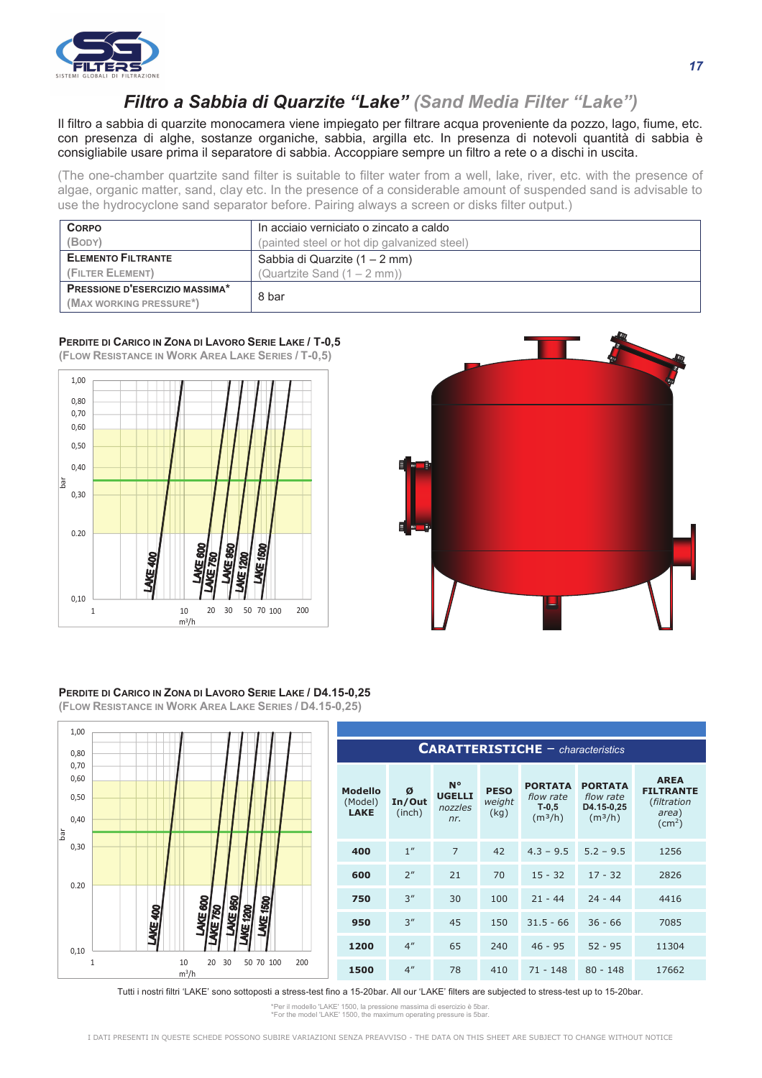

## *Filtro a Sabbia di Quarzite "Lake" (Sand Media Filter "Lake")*

Il filtro a sabbia di quarzite monocamera viene impiegato per filtrare acqua proveniente da pozzo, lago, fiume, etc. con presenza di alghe, sostanze organiche, sabbia, argilla etc. In presenza di notevoli quantità di sabbia è consigliabile usare prima il separatore di sabbia. Accoppiare sempre un filtro a rete o a dischi in uscita.

(The one-chamber quartzite sand filter is suitable to filter water from a well, lake, river, etc. with the presence of algae, organic matter, sand, clay etc. In the presence of a considerable amount of suspended sand is advisable to use the hydrocyclone sand separator before. Pairing always a screen or disks filter output.)

| <b>CORPO</b>                          | In acciaio verniciato o zincato a caldo     |  |  |  |  |  |
|---------------------------------------|---------------------------------------------|--|--|--|--|--|
| (BODY)                                | (painted steel or hot dip galvanized steel) |  |  |  |  |  |
| <b>ELEMENTO FILTRANTE</b>             | Sabbia di Quarzite (1 – 2 mm)               |  |  |  |  |  |
| (FILTER ELEMENT)                      | (Quartzite Sand $(1 - 2$ mm))               |  |  |  |  |  |
| <b>PRESSIONE D'ESERCIZIO MASSIMA*</b> | 8 bar                                       |  |  |  |  |  |
| (MAX WORKING PRESSURE*)               |                                             |  |  |  |  |  |

## **PERDITE DI CARICO IN ZONA DI LAVORO SERIE LAKE / T-0,5 (FLOW RESISTANCE IN WORK AREA LAKE SERIES / T-0,5)**



## **PERDITE DI CARICO IN ZONA DI LAVORO SERIE LAKE / D4.15-0,25 (FLOW RESISTANCE IN WORK AREA LAKE SERIES / D4.15-0,25)**



| <b>CARATTERISTICHE</b> - characteristics |                       |                                                |                               |                                                               |                                                                  |                                                                            |  |  |
|------------------------------------------|-----------------------|------------------------------------------------|-------------------------------|---------------------------------------------------------------|------------------------------------------------------------------|----------------------------------------------------------------------------|--|--|
| <b>Modello</b><br>(Model)<br><b>LAKE</b> | Ø<br>In/Out<br>(inch) | $N^{\circ}$<br><b>UGELLI</b><br>nozzles<br>nr. | <b>PESO</b><br>weight<br>(kg) | <b>PORTATA</b><br>flow rate<br>$T-0,5$<br>(m <sup>3</sup> /h) | <b>PORTATA</b><br>flow rate<br>D4.15-0,25<br>(m <sup>3</sup> /h) | <b>AREA</b><br><b>FILTRANTE</b><br>(filtration<br>area)<br>$\text{(cm}^2)$ |  |  |
| 400                                      | 1 <sup>''</sup>       | $\overline{7}$                                 | 42                            | $4.3 - 9.5$                                                   | $5.2 - 9.5$                                                      | 1256                                                                       |  |  |
| 600                                      | 2 <sup>n</sup>        | 21                                             | 70                            | $15 - 32$                                                     | $17 - 32$                                                        | 2826                                                                       |  |  |
| 750                                      | 3''                   | 30                                             | 100                           | $21 - 44$                                                     | $24 - 44$                                                        | 4416                                                                       |  |  |
| 950                                      | 3''                   | 45                                             | 150                           | $31.5 - 66$                                                   | $36 - 66$                                                        | 7085                                                                       |  |  |
| 1200                                     | 4 <sup>''</sup>       | 65                                             | 240                           | $46 - 95$                                                     | $52 - 95$                                                        | 11304                                                                      |  |  |
| 1500                                     | 4 <sup>''</sup>       | 78                                             | 410                           | $71 - 148$                                                    | $80 - 148$                                                       | 17662                                                                      |  |  |

Tutti i nostri filtri 'LAKE' sono sottoposti a stress-test fino a 15-20bar. All our 'LAKE' filters are subjected to stress-test up to 15-20bar.

\*Per il modello 'LAKE' 1500, la pressione massima di esercizio è 5bar. \*For the model 'LAKE' 1500, the maximum operating pressure is 5bar.